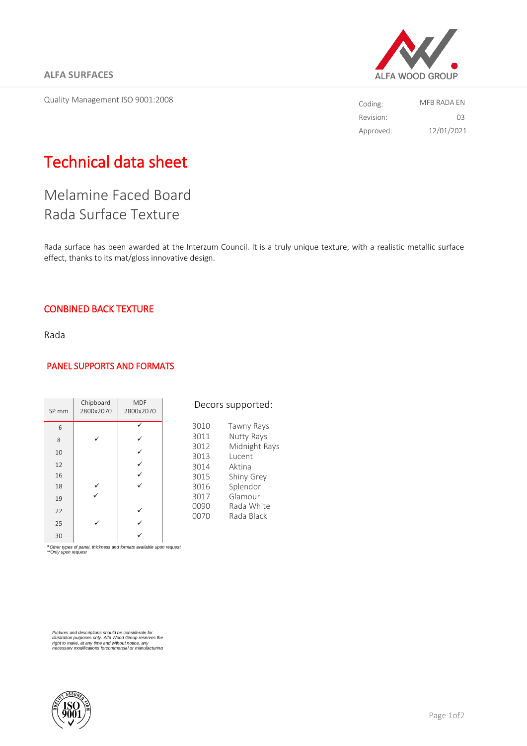Quality Management ISO 9001:2008



| Coding:   | MFR RADA FN |
|-----------|-------------|
| Revision: | O3          |
| Approved: | 12/01/2021  |

## Technical data sheet

Melamine Faced Board Rada Surface Texture

Rada surface has been awarded at the Interzum Council. It is a truly unique texture, with a realistic metallic surface effect, thanks to its mat/gloss innovative design.

> 3010 Tawny Rays 3011 Nutty Rays<br>3012 Midnight R

Decors supported:

3013 Lucent 3014 Aktina 3015 Shiny Grey 3016 Splendor 3017 Glamour 0090 Rada White<br>0070 Rada Black

Midnight Rays

Rada Black

## CONBINED BACK TEXTURE

Rada

## PANEL SUPPORTS AND FORMATS

| SP <sub>mm</sub> | Chipboard<br>2800x2070 | <b>MDF</b><br>2800x2070 |  |
|------------------|------------------------|-------------------------|--|
| 6                |                        |                         |  |
| 8                |                        |                         |  |
| 10               |                        |                         |  |
| 12               |                        |                         |  |
| 16               |                        |                         |  |
| 18               |                        |                         |  |
| 19               |                        |                         |  |
| 22               |                        |                         |  |
| 25               |                        |                         |  |
| 30               |                        |                         |  |

\**Other types of panel, thickness and formats available upon request \*\*Only upon request*

*Pictures and descriptions should be considerate for illustration purposes only. Alfa Wood Group reserves the right to make, at any time and without notice, any necessary modifications forcommercial or manufacturing*